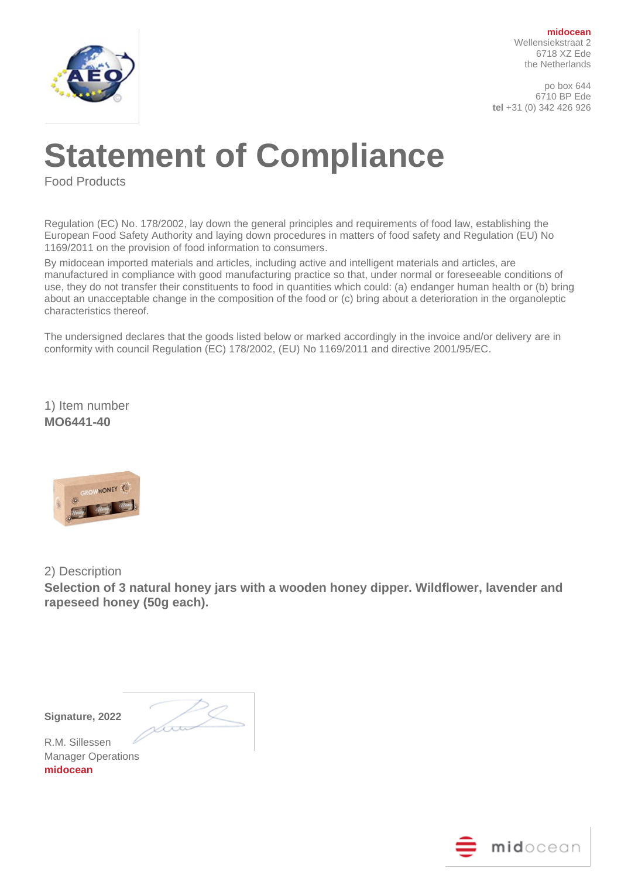

**midocean** Wellensiekstraat 2 6718 XZ Ede the Netherlands

po box 644 6710 BP Ede **tel** +31 (0) 342 426 926

## **Statement of Compliance**

Food Products

Regulation (EC) No. 178/2002, lay down the general principles and requirements of food law, establishing the European Food Safety Authority and laying down procedures in matters of food safety and Regulation (EU) No 1169/2011 on the provision of food information to consumers.

By midocean imported materials and articles, including active and intelligent materials and articles, are manufactured in compliance with good manufacturing practice so that, under normal or foreseeable conditions of use, they do not transfer their constituents to food in quantities which could: (a) endanger human health or (b) bring about an unacceptable change in the composition of the food or (c) bring about a deterioration in the organoleptic characteristics thereof.

The undersigned declares that the goods listed below or marked accordingly in the invoice and/or delivery are in conformity with council Regulation (EC) 178/2002, (EU) No 1169/2011 and directive 2001/95/EC.

1) Item number **MO6441-40**



2) Description

**Selection of 3 natural honey jars with a wooden honey dipper. Wildflower, lavender and rapeseed honey (50g each).**

**Signature, 2022** 

 $\sqrt{\phantom{a}}$ 

R.M. Sillessen Manager Operations **midocean**